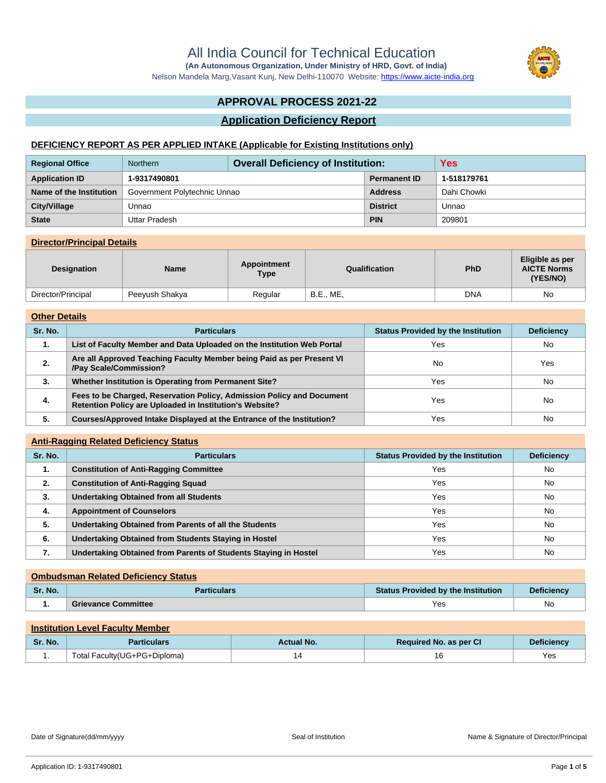Nelson Mandela Marg,Vasant Kunj, New Delhi-110070 Website:<https://www.aicte-india.org>

# **APPROVAL PROCESS 2021-22**

## **Application Deficiency Report**

### **DEFICIENCY REPORT AS PER APPLIED INTAKE (Applicable for Existing Institutions only)**

| <b>Regional Office</b>  | <b>Overall Deficiency of Institution:</b><br><b>Northern</b> |  |                     | <b>Yes</b>  |
|-------------------------|--------------------------------------------------------------|--|---------------------|-------------|
| <b>Application ID</b>   | 1-9317490801                                                 |  | <b>Permanent ID</b> | 1-518179761 |
| Name of the Institution | Government Polytechnic Unnao                                 |  | <b>Address</b>      | Dahi Chowki |
| City/Village            | Unnao                                                        |  | <b>District</b>     | Unnao       |
| <b>State</b>            | Uttar Pradesh                                                |  | <b>PIN</b>          | 209801      |

### **Director/Principal Details**

| <b>Designation</b> | Name           | Appointment<br><b>Type</b> | Qualification    | <b>PhD</b> | Eligible as per<br><b>AICTE Norms</b><br>(YES/NO) |
|--------------------|----------------|----------------------------|------------------|------------|---------------------------------------------------|
| Director/Principal | Peeyush Shakya | Regular                    | <b>B.E., ME,</b> | DNA        | No                                                |

#### **Other Details**

| Sr. No. | <b>Particulars</b>                                                                                                               | <b>Status Provided by the Institution</b> | <b>Deficiency</b> |
|---------|----------------------------------------------------------------------------------------------------------------------------------|-------------------------------------------|-------------------|
| 1.      | List of Faculty Member and Data Uploaded on the Institution Web Portal                                                           | Yes                                       | <b>No</b>         |
| 2.      | Are all Approved Teaching Faculty Member being Paid as per Present VI<br>/Pay Scale/Commission?                                  | <b>No</b>                                 | Yes               |
| 3.      | Whether Institution is Operating from Permanent Site?                                                                            | Yes                                       | <b>No</b>         |
| 4.      | Fees to be Charged, Reservation Policy, Admission Policy and Document<br>Retention Policy are Uploaded in Institution's Website? | Yes                                       | <b>No</b>         |
| 5.      | Courses/Approved Intake Displayed at the Entrance of the Institution?                                                            | Yes                                       | No                |

### **Anti-Ragging Related Deficiency Status**

| Sr. No. | <b>Particulars</b>                                              | <b>Status Provided by the Institution</b> | <b>Deficiency</b> |
|---------|-----------------------------------------------------------------|-------------------------------------------|-------------------|
| 1.      | <b>Constitution of Anti-Ragging Committee</b>                   | Yes                                       | No                |
| 2.      | <b>Constitution of Anti-Ragging Squad</b>                       | Yes                                       | No                |
| 3.      | <b>Undertaking Obtained from all Students</b>                   | Yes                                       | No                |
| 4.      | <b>Appointment of Counselors</b>                                | Yes                                       | No                |
| 5.      | Undertaking Obtained from Parents of all the Students           | Yes                                       | No                |
| 6.      | Undertaking Obtained from Students Staying in Hostel            | Yes                                       | No                |
| 7.      | Undertaking Obtained from Parents of Students Staying in Hostel | Yes                                       | No                |

## **Ombudsman Related Deficiency Status Sr. No. Particulars Status Provided by the Institution Deficiency 1. Grievance Committee** Yes No

# **Institution Level Faculty Member Sr. No. Particulars Particulars Actual No. 2018 Required No. as per CI Deficiency** 1. Total Faculty(UG+PG+Diploma) 14 14 16 16 16 Yes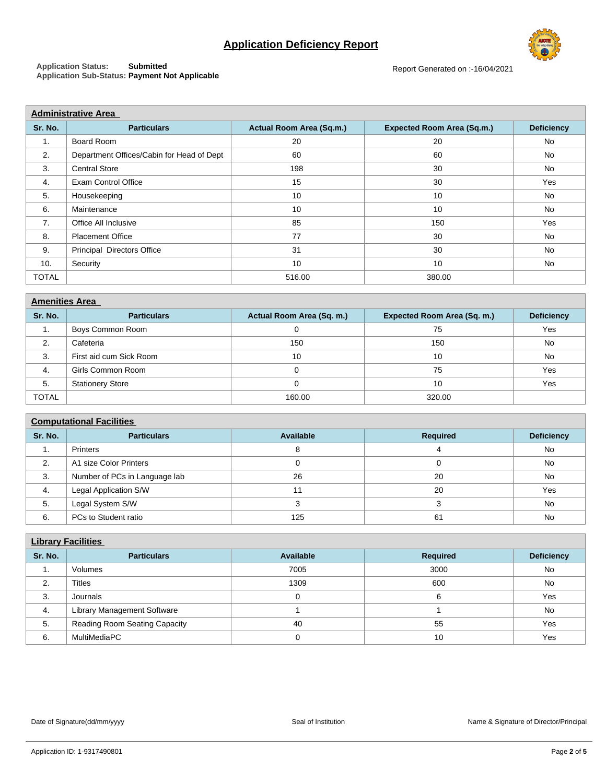# **Application Deficiency Report**

**Application Status: Submitted Application Sub-Status: Payment Not Applicable**

| <b>Administrative Area</b> |                                           |                          |                                   |                   |  |
|----------------------------|-------------------------------------------|--------------------------|-----------------------------------|-------------------|--|
| Sr. No.                    | <b>Particulars</b>                        | Actual Room Area (Sq.m.) | <b>Expected Room Area (Sq.m.)</b> | <b>Deficiency</b> |  |
| 1.                         | Board Room                                | 20                       | 20                                | No                |  |
| 2.                         | Department Offices/Cabin for Head of Dept | 60                       | 60                                | No                |  |
| 3.                         | <b>Central Store</b>                      | 198                      | 30                                | <b>No</b>         |  |
| 4.                         | <b>Exam Control Office</b>                | 15                       | 30                                | Yes               |  |
| 5.                         | Housekeeping                              | 10                       | 10                                | No                |  |
| 6.                         | Maintenance                               | 10                       | 10                                | No                |  |
| 7 <sub>1</sub>             | Office All Inclusive                      | 85                       | 150                               | Yes               |  |
| 8.                         | <b>Placement Office</b>                   | 77                       | 30                                | <b>No</b>         |  |
| 9.                         | <b>Principal Directors Office</b>         | 31                       | 30                                | No                |  |
| 10.                        | Security                                  | 10                       | 10                                | No                |  |
| <b>TOTAL</b>               |                                           | 516.00                   | 380.00                            |                   |  |

| <b>Amenities Area</b> |                         |                           |                             |                   |  |
|-----------------------|-------------------------|---------------------------|-----------------------------|-------------------|--|
| Sr. No.               | <b>Particulars</b>      | Actual Room Area (Sq. m.) | Expected Room Area (Sq. m.) | <b>Deficiency</b> |  |
| .                     | Boys Common Room        |                           | 75                          | Yes               |  |
| 2.                    | Cafeteria               | 150                       | 150                         | <b>No</b>         |  |
| 3.                    | First aid cum Sick Room | 10                        | 10                          | No                |  |
| 4.                    | Girls Common Room       |                           | 75                          | Yes               |  |
| 5.                    | <b>Stationery Store</b> |                           | 10                          | Yes               |  |
| <b>TOTAL</b>          |                         | 160.00                    | 320.00                      |                   |  |

#### **Computational Facilities**

| Sr. No. | <b>Required</b><br><b>Particulars</b><br>Available |     | <b>Deficiency</b> |     |  |  |
|---------|----------------------------------------------------|-----|-------------------|-----|--|--|
| . .     | <b>Printers</b>                                    |     |                   | No  |  |  |
| 2.      | A1 size Color Printers                             |     |                   | No  |  |  |
| 3.      | Number of PCs in Language lab                      | 26  | 20                | No  |  |  |
| 4.      | Legal Application S/W                              |     | 20                | Yes |  |  |
| 5.      | Legal System S/W                                   |     |                   | No  |  |  |
| 6.      | PCs to Student ratio                               | 125 | 61                | No  |  |  |

| <b>Library Facilities</b> |                                    |           |                 |                   |  |
|---------------------------|------------------------------------|-----------|-----------------|-------------------|--|
| Sr. No.                   | <b>Particulars</b>                 | Available | <b>Required</b> | <b>Deficiency</b> |  |
| 1.                        | Volumes                            | 7005      | 3000            | No                |  |
| 2.                        | <b>Titles</b>                      | 1309      | 600             | No                |  |
| 3.                        | Journals                           | 0         |                 | Yes               |  |
| 4.                        | <b>Library Management Software</b> |           |                 | No                |  |
| 5.                        | Reading Room Seating Capacity      | 40        | 55              | Yes               |  |
| 6.                        | MultiMediaPC                       |           | 10              | Yes               |  |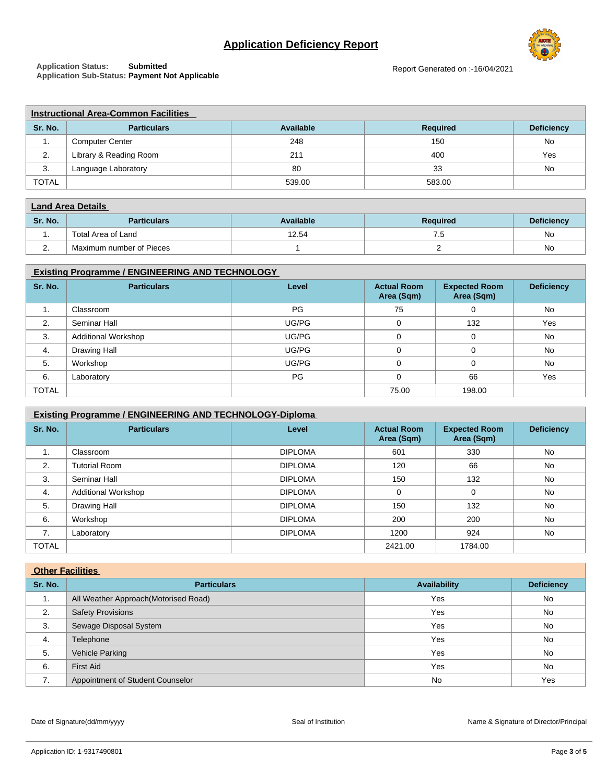# **Application Deficiency Report**



**Application Status: Submitted Application Sub-Status: Payment Not Applicable**

| <b>Instructional Area-Common Facilities</b> |                        |           |                 |                   |  |
|---------------------------------------------|------------------------|-----------|-----------------|-------------------|--|
| Sr. No.                                     | <b>Particulars</b>     | Available | <b>Required</b> | <b>Deficiency</b> |  |
| . .                                         | <b>Computer Center</b> | 248       | 150             | No                |  |
| 2.                                          | Library & Reading Room | 211       | 400             | Yes               |  |
| 3.                                          | Language Laboratory    | 80        | 33              | No                |  |
| <b>TOTAL</b>                                |                        | 539.00    | 583.00          |                   |  |

| <b>Land Area Details</b> |                          |           |                 |                   |  |
|--------------------------|--------------------------|-----------|-----------------|-------------------|--|
| Sr. No.                  | <b>Particulars</b>       | Available | <b>Required</b> | <b>Deficiency</b> |  |
| . .                      | Total Area of Land       | 12.54     | . ت             | No                |  |
| <u>.</u>                 | Maximum number of Pieces |           |                 | <b>No</b>         |  |

### **Existing Programme / ENGINEERING AND TECHNOLOGY**

| Sr. No.      | <b>Particulars</b>         | Level | <b>Actual Room</b><br>Area (Sqm) | <b>Expected Room</b><br>Area (Sqm) | <b>Deficiency</b> |
|--------------|----------------------------|-------|----------------------------------|------------------------------------|-------------------|
| . .          | Classroom                  | PG    | 75                               | 0                                  | No                |
| 2.           | Seminar Hall               | UG/PG | $\Omega$                         | 132                                | Yes               |
| 3.           | <b>Additional Workshop</b> | UG/PG | $\Omega$                         | 0                                  | No                |
| 4.           | Drawing Hall               | UG/PG |                                  |                                    | No                |
| 5.           | Workshop                   | UG/PG | $\Omega$                         | 0                                  | No                |
| 6.           | Laboratory                 | PG    |                                  | 66                                 | Yes               |
| <b>TOTAL</b> |                            |       | 75.00                            | 198.00                             |                   |

| <b>Existing Programme / ENGINEERING AND TECHNOLOGY-Diploma</b> |                            |                |                                  |                                    |                   |
|----------------------------------------------------------------|----------------------------|----------------|----------------------------------|------------------------------------|-------------------|
| Sr. No.                                                        | <b>Particulars</b>         | Level          | <b>Actual Room</b><br>Area (Sqm) | <b>Expected Room</b><br>Area (Sqm) | <b>Deficiency</b> |
| 1.                                                             | Classroom                  | <b>DIPLOMA</b> | 601                              | 330                                | <b>No</b>         |
| 2.                                                             | <b>Tutorial Room</b>       | <b>DIPLOMA</b> | 120                              | 66                                 | <b>No</b>         |
| 3.                                                             | Seminar Hall               | <b>DIPLOMA</b> | 150                              | 132                                | <b>No</b>         |
| 4.                                                             | <b>Additional Workshop</b> | <b>DIPLOMA</b> | 0                                | $\Omega$                           | <b>No</b>         |
| 5.                                                             | Drawing Hall               | <b>DIPLOMA</b> | 150                              | 132                                | <b>No</b>         |
| 6.                                                             | Workshop                   | <b>DIPLOMA</b> | 200                              | 200                                | No                |
| 7.                                                             | Laboratory                 | <b>DIPLOMA</b> | 1200                             | 924                                | <b>No</b>         |
| <b>TOTAL</b>                                                   |                            |                | 2421.00                          | 1784.00                            |                   |

| <b>Other Facilities</b> |                                      |                     |                   |  |
|-------------------------|--------------------------------------|---------------------|-------------------|--|
| Sr. No.                 | <b>Particulars</b>                   | <b>Availability</b> | <b>Deficiency</b> |  |
| 1.                      | All Weather Approach(Motorised Road) | Yes                 | No                |  |
| 2.                      | <b>Safety Provisions</b>             | Yes                 | No                |  |
| 3.                      | Sewage Disposal System               | Yes                 | No                |  |
| 4.                      | Telephone                            | Yes                 | No                |  |
| 5.                      | Vehicle Parking                      | Yes                 | No                |  |
| 6.                      | <b>First Aid</b>                     | Yes                 | No                |  |
| 7.                      | Appointment of Student Counselor     | <b>No</b>           | Yes               |  |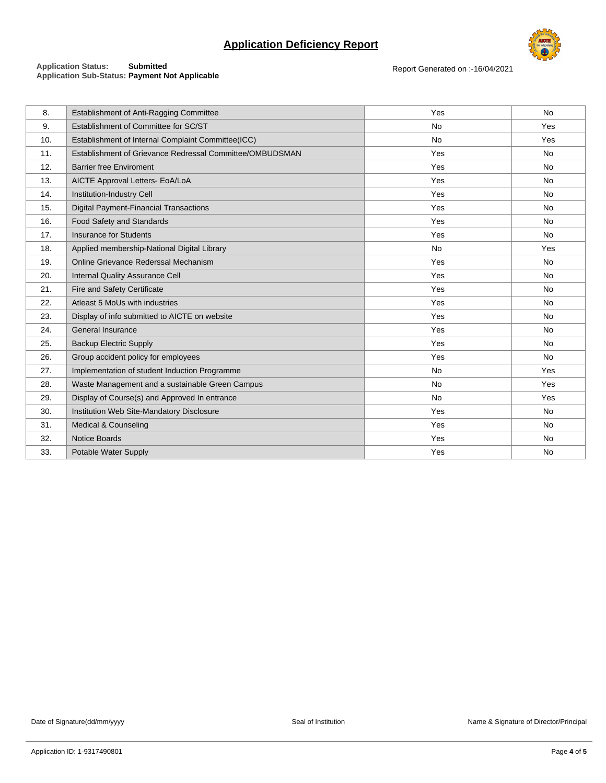# **Application Deficiency Report**



#### **Application Status: Submitted Application Sub-Status: Payment Not Applicable**

Report Generated on :-16/04/2021

| 8.  | Establishment of Anti-Ragging Committee                  | Yes       | <b>No</b> |
|-----|----------------------------------------------------------|-----------|-----------|
| 9.  | Establishment of Committee for SC/ST                     | No        | Yes       |
| 10. | Establishment of Internal Complaint Committee(ICC)       | <b>No</b> | Yes       |
| 11. | Establishment of Grievance Redressal Committee/OMBUDSMAN | Yes       | <b>No</b> |
| 12. | <b>Barrier free Enviroment</b>                           | Yes       | <b>No</b> |
| 13. | AICTE Approval Letters- EoA/LoA                          | Yes       | <b>No</b> |
| 14. | Institution-Industry Cell                                | Yes       | <b>No</b> |
| 15. | <b>Digital Payment-Financial Transactions</b>            | Yes       | <b>No</b> |
| 16. | Food Safety and Standards                                | Yes       | <b>No</b> |
| 17. | <b>Insurance for Students</b>                            | Yes       | <b>No</b> |
| 18. | Applied membership-National Digital Library              | No        | Yes       |
| 19. | Online Grievance Rederssal Mechanism                     | Yes       | <b>No</b> |
| 20. | <b>Internal Quality Assurance Cell</b>                   | Yes       | No        |
| 21. | Fire and Safety Certificate                              | Yes       | <b>No</b> |
| 22. | Atleast 5 MoUs with industries                           | Yes       | <b>No</b> |
| 23. | Display of info submitted to AICTE on website            | Yes       | <b>No</b> |
| 24. | General Insurance                                        | Yes       | <b>No</b> |
| 25. | <b>Backup Electric Supply</b>                            | Yes       | <b>No</b> |
| 26. | Group accident policy for employees                      | Yes       | <b>No</b> |
| 27. | Implementation of student Induction Programme            | <b>No</b> | Yes       |
| 28. | Waste Management and a sustainable Green Campus          | <b>No</b> | Yes       |
| 29. | Display of Course(s) and Approved In entrance            | No        | Yes       |
| 30. | Institution Web Site-Mandatory Disclosure                | Yes       | No        |
| 31. | Medical & Counseling                                     | Yes       | <b>No</b> |
| 32. | <b>Notice Boards</b>                                     | Yes       | <b>No</b> |
| 33. | Potable Water Supply                                     | Yes       | <b>No</b> |